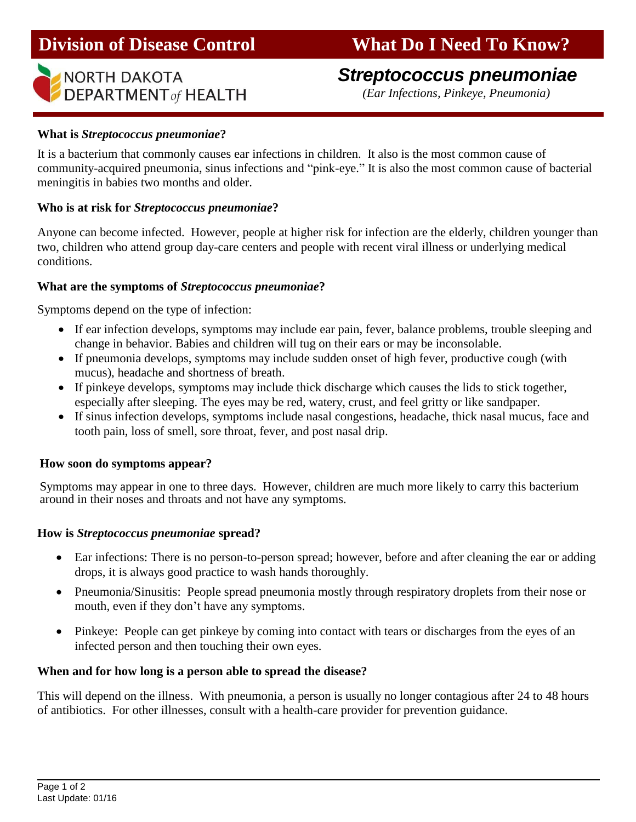# *Streptococcus pneumoniae*

**DEPARTMENT** of **HEALTH** *(Ear Infections, Pinkeye, Pneumonia)* 

#### **What is** *Streptococcus pneumoniae***?**

Ī

It is a bacterium that commonly causes ear infections in children. It also is the most common cause of community-acquired pneumonia, sinus infections and "pink-eye." It is also the most common cause of bacterial meningitis in babies two months and older.

#### **Who is at risk for** *Streptococcus pneumoniae***?**

Anyone can become infected. However, people at higher risk for infection are the elderly, children younger than two, children who attend group day-care centers and people with recent viral illness or underlying medical conditions.

#### **What are the symptoms of** *Streptococcus pneumoniae***?**

Symptoms depend on the type of infection:

- If ear infection develops, symptoms may include ear pain, fever, balance problems, trouble sleeping and change in behavior. Babies and children will tug on their ears or may be inconsolable.
- If pneumonia develops, symptoms may include sudden onset of high fever, productive cough (with mucus), headache and shortness of breath.
- If pinkeye develops, symptoms may include thick discharge which causes the lids to stick together, especially after sleeping. The eyes may be red, watery, crust, and feel gritty or like sandpaper.
- If sinus infection develops, symptoms include nasal congestions, headache, thick nasal mucus, face and tooth pain, loss of smell, sore throat, fever, and post nasal drip.

#### **How soon do symptoms appear?**

Symptoms may appear in one to three days. However, children are much more likely to carry this bacterium around in their noses and throats and not have any symptoms.

#### **How is** *Streptococcus pneumoniae* **spread?**

- Ear infections: There is no person-to-person spread; however, before and after cleaning the ear or adding drops, it is always good practice to wash hands thoroughly.
- Pneumonia/Sinusitis: People spread pneumonia mostly through respiratory droplets from their nose or mouth, even if they don't have any symptoms.
- Pinkeye: People can get pinkeye by coming into contact with tears or discharges from the eyes of an infected person and then touching their own eyes.

#### **When and for how long is a person able to spread the disease?**

This will depend on the illness. With pneumonia, a person is usually no longer contagious after 24 to 48 hours of antibiotics. For other illnesses, consult with a health-care provider for prevention guidance.